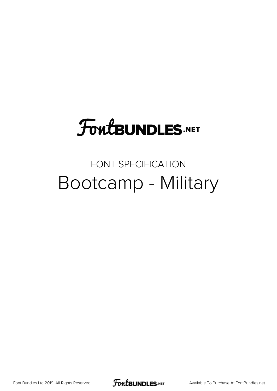# **FoutBUNDLES.NET**

### FONT SPECIFICATION Bootcamp - Military

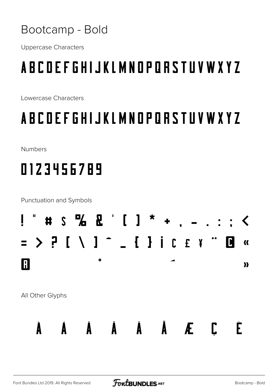#### Bootcamp - Bold

**Uppercase Characters** 

## **ABCOEFGHIJKLMNOPORSTUVWXYZ**

Lowercase Characters

### **ABCOEFGHIJKLMNOPORSTUVWXYZ**

**Numbers** 

## 0123456789

**Punctuation and Symbols** 

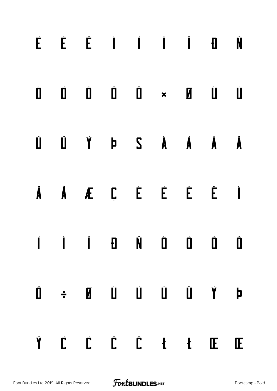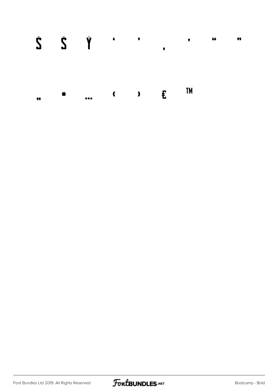|    | $\dot{S}$ $\dot{S}$ $\ddot{Y}$ $\ddot{Y}$ , $\ddot{Y}$ |  |  | $\overline{\mathbf{y}}$ |
|----|--------------------------------------------------------|--|--|-------------------------|
| 77 | $\bullet$ ( ) $\in$ <sup>TM</sup>                      |  |  |                         |

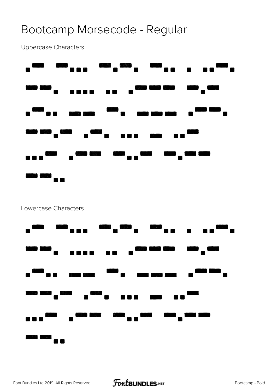#### Bootcamp Morsecode - Regular

Uppercase Characters



#### Lowercase Characters

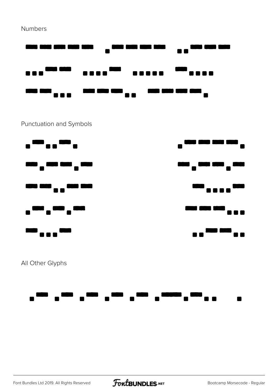**Numbers** 



#### Punctuation and Symbols



All Other Glyphs